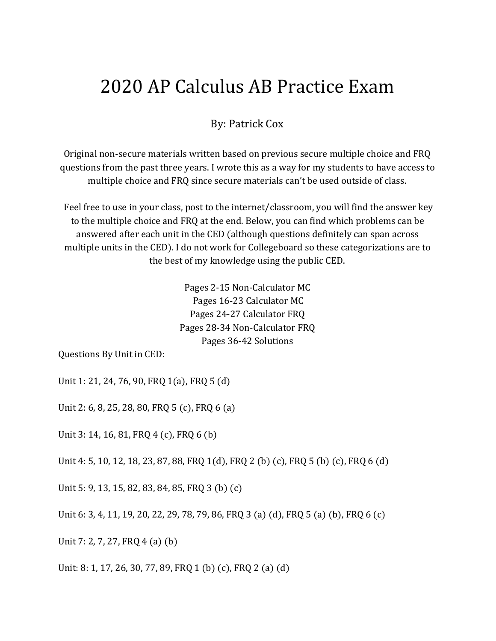# 2020 AP Calculus AB Practice Exam

### By: Patrick Cox

Original non-secure materials written based on previous secure multiple choice and FRQ questions from the past three years. I wrote this as a way for my students to have access to multiple choice and FRQ since secure materials can't be used outside of class.

 Feel free to use in your class, post to the internet/classroom, you will find the answer key to the multiple choice and FRQ at the end. Below, you can find which problems can be answered after each unit in the CED (although questions definitely can span across multiple units in the CED). I do not work for Collegeboard so these categorizations are to the best of my knowledge using the public CED.

> Pages 2-15 Non-Calculator MC Pages 16-23 Calculator MC Pages 24-27 Calculator FRQ Pages 28-34 Non-Calculator FRQ Pages 36-42 Solutions

Questions By Unit in CED:

Unit 1: 21, 24, 76, 90, FRQ 1(a), FRQ 5 (d)

Unit 2: 6, 8, 25, 28, 80, FRQ 5 (c), FRQ 6 (a)

Unit 3: 14, 16, 81, FRQ 4 (c), FRQ 6 (b)

Unit 4: 5, 10, 12, 18, 23, 87, 88, FRQ 1(d), FRQ 2 (b) (c), FRQ 5 (b) (c), FRQ 6 (d)

Unit 5: 9, 13, 15, 82, 83, 84, 85, FRQ 3 (b) (c)

Unit 6: 3, 4, 11, 19, 20, 22, 29, 78, 79, 86, FRQ 3 (a) (d), FRQ 5 (a) (b), FRQ 6 (c)

Unit 7: 2, 7, 27, FRQ 4 (a) (b)

Unit: 8: 1, 17, 26, 30, 77, 89, FRQ 1 (b) (c), FRQ 2 (a) (d)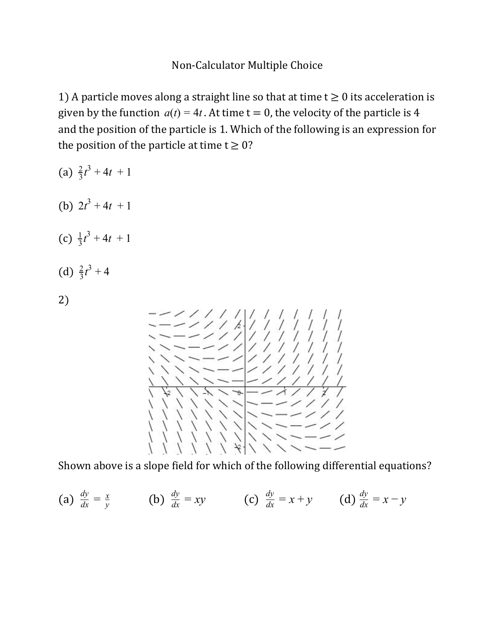1) A particle moves along a straight line so that at time  $t \ge 0$  its acceleration is given by the function  $a(t) = 4t$ . At time  $t = 0$ , the velocity of the particle is 4 and the position of the particle is 1. Which of the following is an expression for the position of the particle at time  $t \geq 0$ ?

(a) 
$$
\frac{2}{3}t^3 + 4t + 1
$$
  
\n(b)  $2t^3 + 4t + 1$   
\n(c)  $\frac{1}{3}t^3 + 4t + 1$   
\n(d)  $\frac{2}{3}t^3 + 4$   
\n2)

Shown above is a slope field for which of the following differential equations?

(a) 
$$
\frac{dy}{dx} = \frac{x}{y}
$$
 (b)  $\frac{dy}{dx} = xy$  (c)  $\frac{dy}{dx} = x + y$  (d)  $\frac{dy}{dx} = x - y$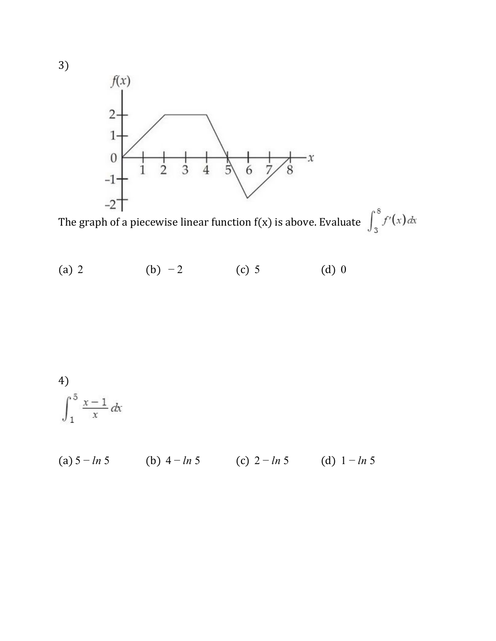

The graph of a piecewise linear function  $f(x)$  is above. Evaluate  $\int_3^8 f'(x) dx$ 

(a) 2 (b) −2 (c) 5 (d) 0

4)  

$$
\int_1^5 \frac{x-1}{x} dx
$$

(a) 5 − *ln* 5 (b) 4 − *ln* 5 (c) 2 − *ln* 5 (d) 1 − *ln* 5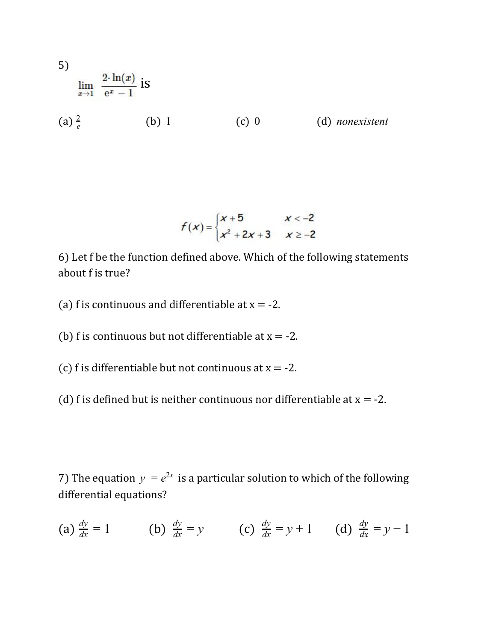5)  
\n
$$
\lim_{x \to 1} \frac{2 \cdot \ln(x)}{e^x - 1}
$$
 is  
\n(a)  $\frac{2}{e}$  (b) 1 (c) 0 (d) *nonexistent*

$$
f(x) = \begin{cases} x+5 & x < -2 \\ x^2 + 2x + 3 & x \ge -2 \end{cases}
$$

6) Let f be the function defined above. Which of the following statements about f is true?

(a) f is continuous and differentiable at  $x = -2$ .

(b) f is continuous but not differentiable at  $x = -2$ .

(c) f is differentiable but not continuous at  $x = -2$ .

(d) f is defined but is neither continuous nor differentiable at  $x = -2$ .

7) The equation  $y = e^{2x}$  is a particular solution to which of the following differential equations?

(a) 
$$
\frac{dy}{dx} = 1
$$
 (b)  $\frac{dy}{dx} = y$  (c)  $\frac{dy}{dx} = y + 1$  (d)  $\frac{dy}{dx} = y - 1$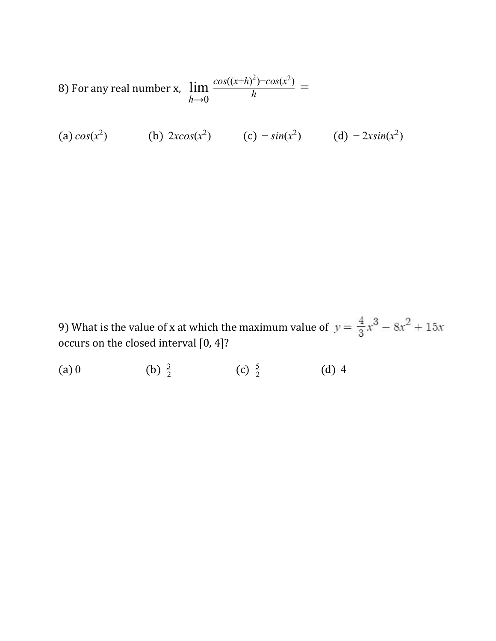8) For any real number x, lim  $h \rightarrow 0$   $h$  $cos((x+h)^2) - cos(x^2)$ =

(a) 
$$
cos(x^2)
$$
 (b)  $2xcos(x^2)$  (c)  $-sin(x^2)$  (d)  $-2xsin(x^2)$ 

9) What is the value of x at which the maximum value of  $y = \frac{4}{3}x^3 - 8x^2 + 15x$ occurs on the closed interval [0, 4]?

 $(a)$  0 (b)  $\frac{3}{2}$  $\frac{3}{2}$  (c)  $\frac{5}{2}$  $(d)$  4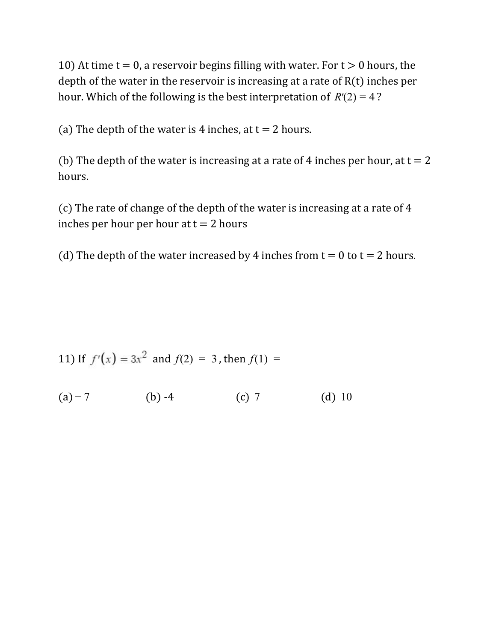10) At time  $t = 0$ , a reservoir begins filling with water. For  $t > 0$  hours, the depth of the water in the reservoir is increasing at a rate of R(t) inches per hour. Which of the following is the best interpretation of  $R'(2) = 4$ ?

(a) The depth of the water is 4 inches, at  $t = 2$  hours.

(b) The depth of the water is increasing at a rate of 4 inches per hour, at  $t = 2$ hours.

(c) The rate of change of the depth of the water is increasing at a rate of 4 inches per hour per hour at  $t = 2$  hours

(d) The depth of the water increased by 4 inches from  $t = 0$  to  $t = 2$  hours.

11) If 
$$
f'(x) = 3x^2
$$
 and  $f(2) = 3$ , then  $f(1) =$ 

(a)  $-7$  (b)  $-4$  (c) 7 (d) 10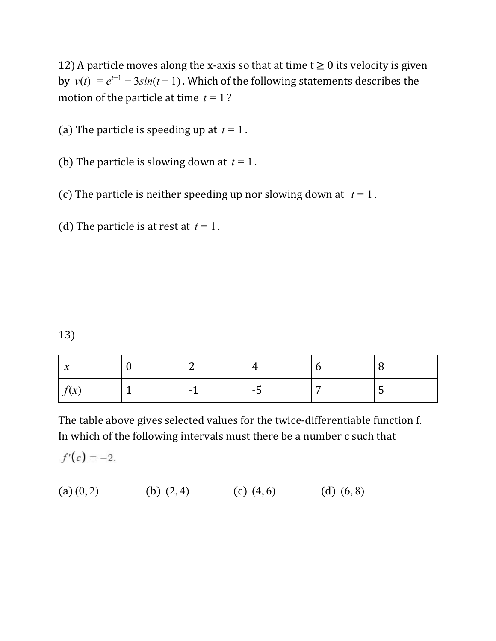12) A particle moves along the x-axis so that at time  $t \ge 0$  its velocity is given by  $v(t) = e^{t-1} - 3\sin(t-1)$ . Which of the following statements describes the motion of the particle at time  $t = 1$ ?

(a) The particle is speeding up at  $t = 1$ .

- (b) The particle is slowing down at  $t = 1$ .
- (c) The particle is neither speeding up nor slowing down at  $t = 1$ .

(d) The particle is at rest at  $t = 1$ .

#### 13)

| $\mathbf{A}$<br>∼                              |  |                                                 |                      |
|------------------------------------------------|--|-------------------------------------------------|----------------------|
| $\sim$<br>$\mathbf{v}$<br>, $\mathcal{U}$<br>୰ |  | $\overline{\phantom{a}}$<br>- 7<br>$\mathbf{r}$ | $\ddot{\phantom{a}}$ |

The table above gives selected values for the twice-differentiable function f. In which of the following intervals must there be a number c such that

 $f'(c) = -2.$ 

(a)  $(0, 2)$  (b)  $(2, 4)$  (c)  $(4, 6)$  (d)  $(6, 8)$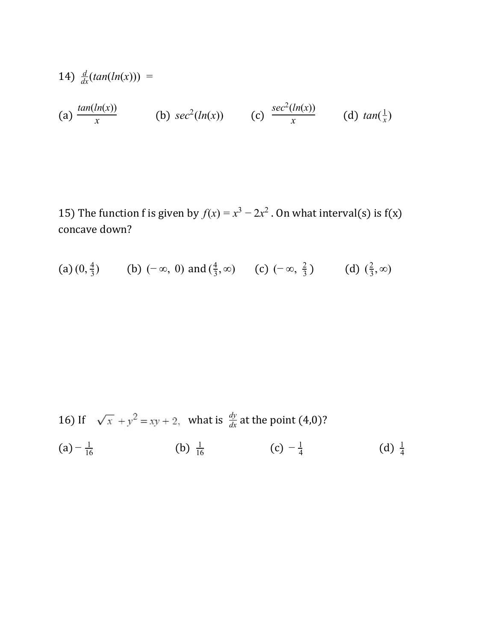(14) 
$$
\frac{d}{dx}(\tan(\ln(x))) =
$$
  
\n(a)  $\frac{\tan(\ln(x))}{x}$  (b)  $\sec^2(\ln(x))$  (c)  $\frac{\sec^2(\ln(x))}{x}$  (d)  $\tan(\frac{1}{x})$ 

15) The function f is given by  $f(x) = x^3 - 2x^2$ . On what interval(s) is  $f(x)$ concave down?

(a) 
$$
(0, \frac{4}{3})
$$
 (b)  $(-\infty, 0)$  and  $(\frac{4}{3}, \infty)$  (c)  $(-\infty, \frac{2}{3})$  (d)  $(\frac{2}{3}, \infty)$ 

16) If 
$$
\sqrt{x} + y^2 = xy + 2
$$
, what is  $\frac{dy}{dx}$  at the point (4,0)?  
\n(a)  $-\frac{1}{16}$  (b)  $\frac{1}{16}$  (c)  $-\frac{1}{4}$  (d)  $\frac{1}{4}$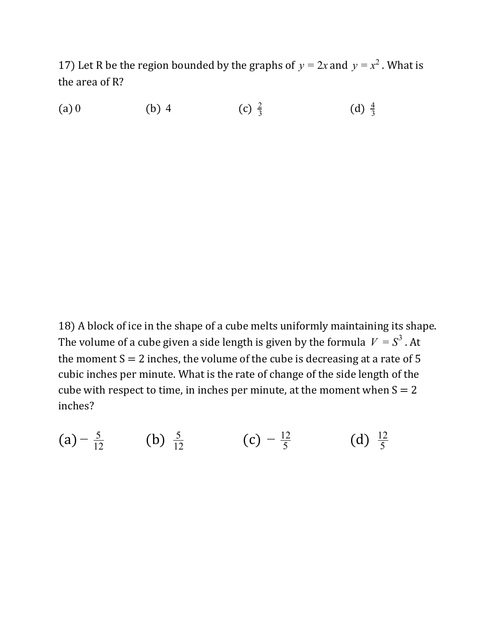17) Let R be the region bounded by the graphs of  $y = 2x$  and  $y = x^2$ . What is the area of R?

(a) 0 (b) 4 (c)  $\frac{2}{3}$  $\frac{2}{3}$  (d)  $\frac{4}{3}$ 4

18) A block of ice in the shape of a cube melts uniformly maintaining its shape. The volume of a cube given a side length is given by the formula  $|V| = S^3$  . At the moment  $S = 2$  inches, the volume of the cube is decreasing at a rate of 5 cubic inches per minute. What is the rate of change of the side length of the cube with respect to time, in inches per minute, at the moment when  $S = 2$ inches?

 $(a) - \frac{5}{12}$  $\frac{5}{12}$  (b)  $\frac{5}{12}$  (c)  $-\frac{12}{5}$  (d)  $\frac{12}{5}$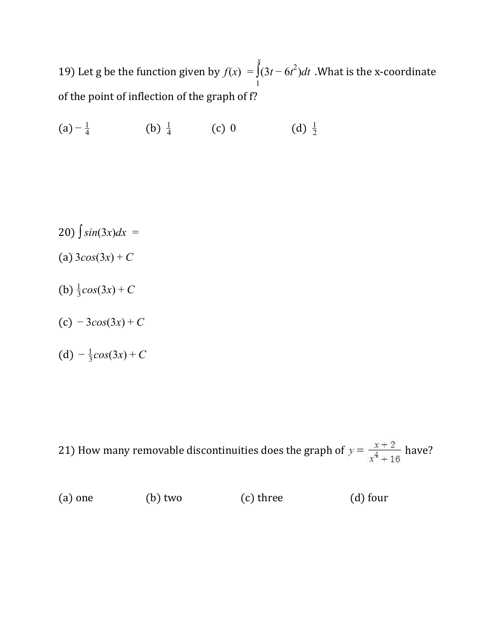19) Let g be the function given by  $f(x) = \int (3t - 6t^2) dt$  .What is the x-coordinate *x* 1  $-6t^2$ of the point of inflection of the graph of f?

 $(a) - \frac{1}{4}$  $\frac{1}{4}$  (b)  $\frac{1}{4}$  (c) 0 (d) 2 1

- 20)  $\int$ *sin*(3*x*)*dx* =
- (a)  $3cos(3x) + C$
- (b)  $\frac{1}{3}cos(3x) + C$
- (c) − 3*cos*(3*x*) + *C*
- (d)  $-\frac{1}{3}cos(3x) + C$

21) How many removable discontinuities does the graph of  $y = \frac{x+2}{x^4+16}$  have?

| $(a)$ one | $(b)$ two | (c) three | $(d)$ four |
|-----------|-----------|-----------|------------|
|           |           |           |            |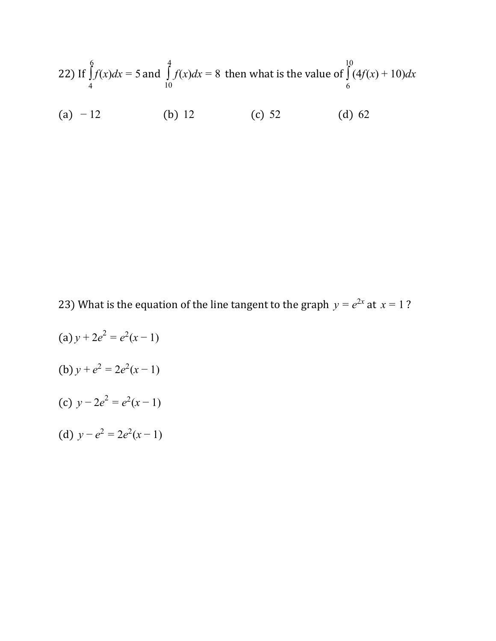22) If 
$$
\int_{4}^{6} f(x)dx = 5
$$
 and  $\int_{10}^{4} f(x)dx = 8$  then what is the value of  $\int_{6}^{10} (4f(x) + 10)dx$   
(a) -12 (b) 12 (c) 52 (d) 62

23) What is the equation of the line tangent to the graph  $y = e^{2x}$  at  $x = 1$ ?

 $(a) y + 2e^2 = e^2(x-1)$ (b)  $y + e^2 = 2e^2(x-1)$ (c)  $y - 2e^2 = e^2(x - 1)$ (d)  $y - e^2 = 2e^2(x - 1)$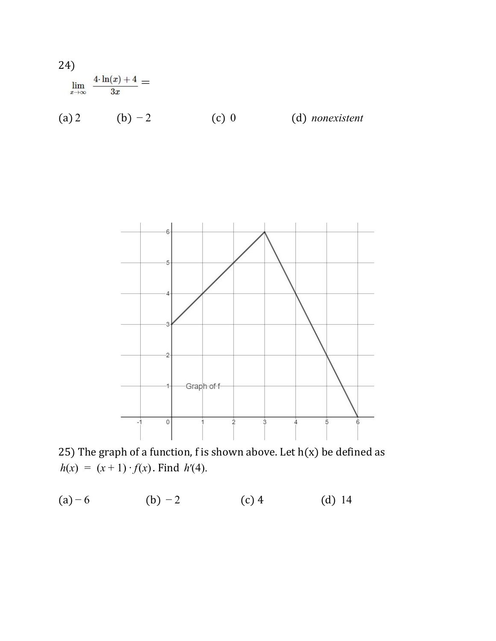



25) The graph of a function, f is shown above. Let  $h(x)$  be defined as  $h(x) = (x + 1) \cdot f(x)$ . Find  $h'(4)$ .

(a)  $-6$  (b)  $-2$  (c) 4 (d) 14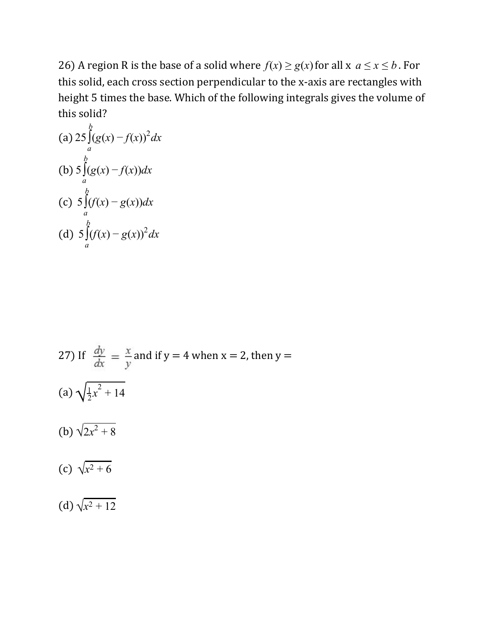26) A region R is the base of a solid where  $f(x) \ge g(x)$  for all  $x \le x \le b$ . For this solid, each cross section perpendicular to the x-axis are rectangles with height 5 times the base. Which of the following integrals gives the volume of this solid?

(a) 
$$
25 \int_{a}^{b} (g(x) - f(x))^2 dx
$$
  
\n(b)  $5 \int_{a}^{b} (g(x) - f(x)) dx$   
\n(c)  $5 \int_{a}^{b} (f(x) - g(x)) dx$   
\n(d)  $5 \int_{a}^{b} (f(x) - g(x))^2 dx$ 

27) If 
$$
\frac{dy}{dx} = \frac{x}{y}
$$
 and if  $y = 4$  when  $x = 2$ , then  $y =$   
\n(a)  $\sqrt{\frac{1}{2}x^2 + 14}$   
\n(b)  $\sqrt{2x^2 + 8}$   
\n(c)  $\sqrt{x^2 + 6}$   
\n(d)  $\sqrt{x^2 + 12}$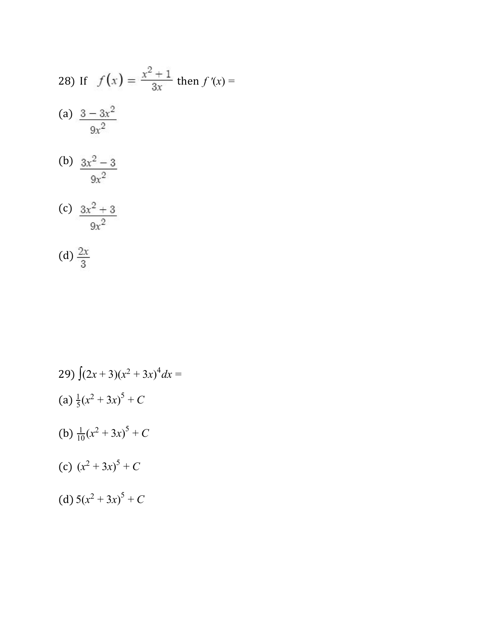28) If 
$$
f(x) = \frac{x^2 + 1}{3x}
$$
 then  $f'(x) =$   
\n(a)  $\frac{3 - 3x^2}{9x^2}$   
\n(b)  $\frac{3x^2 - 3}{9x^2}$   
\n(c)  $\frac{3x^2 + 3}{9x^2}$ 

(d) 
$$
\frac{2x}{3}
$$

29) 
$$
\int (2x+3)(x^2+3x)^4 dx =
$$
  
\n(a) 
$$
\frac{1}{5}(x^2+3x)^5 + C
$$
  
\n(b) 
$$
\frac{1}{10}(x^2+3x)^5 + C
$$
  
\n(c) 
$$
(x^2+3x)^5 + C
$$
  
\n(d) 
$$
5(x^2+3x)^5 + C
$$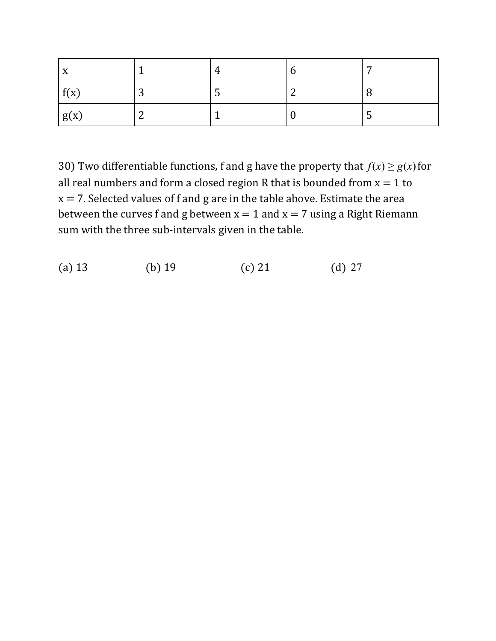| X    |        | 4   | O | −   |
|------|--------|-----|---|-----|
| f(x) | ⌒<br>ັ | . ა | ⌒ |     |
| g(x) | ⌒<br>∼ |     |   | لنه |

30) Two differentiable functions, f and g have the property that  $f(x) \ge g(x)$  for all real numbers and form a closed region R that is bounded from  $x = 1$  to  $x = 7$ . Selected values of f and g are in the table above. Estimate the area between the curves f and g between  $x = 1$  and  $x = 7$  using a Right Riemann sum with the three sub-intervals given in the table.

(a) 13 (b) 19 (c) 21 (d) 27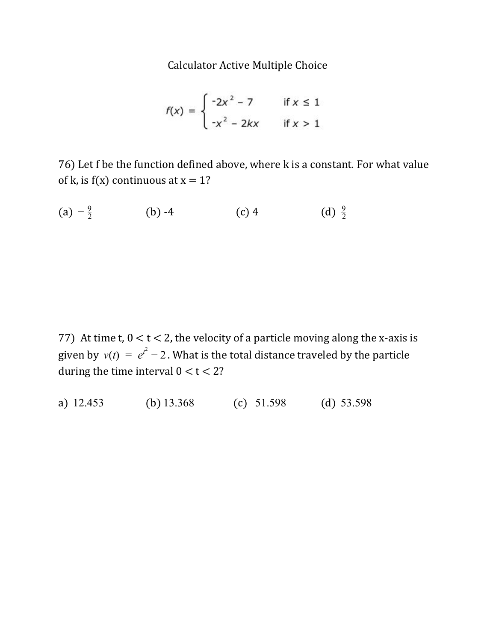Calculator Active Multiple Choice

$$
f(x) = \begin{cases} -2x^2 - 7 & \text{if } x \le 1 \\ -x^2 - 2kx & \text{if } x > 1 \end{cases}
$$

76) Let f be the function defined above, where k is a constant. For what value of k, is  $f(x)$  continuous at  $x = 1$ ?

(a)  $-\frac{9}{2}$  (b) -4 (c) 4 (d) 2 9

77) At time t,  $0 < t < 2$ , the velocity of a particle moving along the x-axis is given by  $v(t) = e^{t^2} - 2$  . What is the total distance traveled by the particle during the time interval  $0 < t < 2$ ?

a) 12.453 (b) 13.368 (c) 51.598 (d) 53.598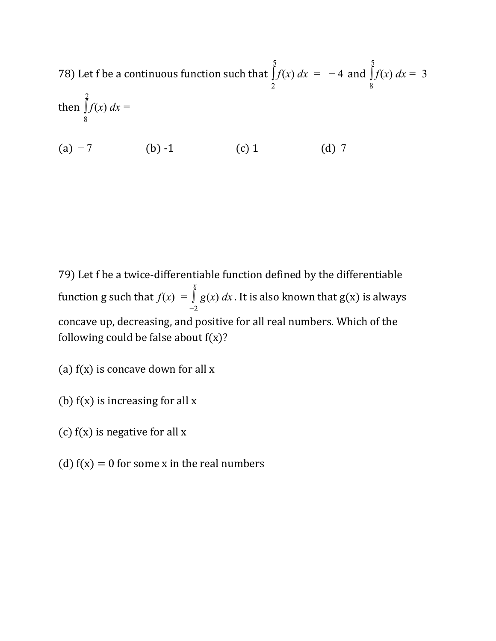78) Let f be a continuous function such that  $\int f(x) dx = -4$  and  $\frac{5}{2}$ 2  $f(x) dx = -4$  and  $\int f(x) dx = 3$  $\frac{5}{2}$ 8  $f(x) dx =$ then  $\int f(x) dx$  $\overline{2}$ 8  $f(x) dx =$ 

(a)  $-7$  (b)  $-1$  (c) 1 (d) 7

79) Let f be a twice-differentiable function defined by the differentiable function g such that  $f(x) = \int g(x) dx$ . It is also known that  $g(x)$  is always *x* −2 *g* concave up, decreasing, and positive for all real numbers. Which of the following could be false about  $f(x)$ ?

(a)  $f(x)$  is concave down for all x

- (b)  $f(x)$  is increasing for all x
- (c)  $f(x)$  is negative for all x
- (d)  $f(x) = 0$  for some x in the real numbers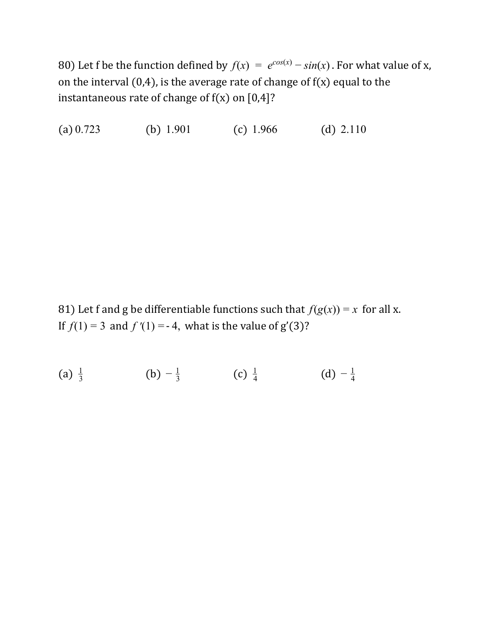80) Let f be the function defined by  $f(x) = e^{cos(x)} - sin(x)$ . For what value of x, on the interval  $(0,4)$ , is the average rate of change of  $f(x)$  equal to the instantaneous rate of change of  $f(x)$  on  $[0,4]$ ?

(a)  $0.723$  (b)  $1.901$  (c)  $1.966$  (d)  $2.110$ 

81) Let f and g be differentiable functions such that  $f(g(x)) = x$  for all x. If  $f(1) = 3$  and  $f'(1) = -4$ , what is the value of  $g'(3)$ ?

(a)  $\frac{1}{3}$  (b)  $-\frac{1}{3}$  (c)  $\frac{1}{4}$  (d)  $-\frac{1}{4}$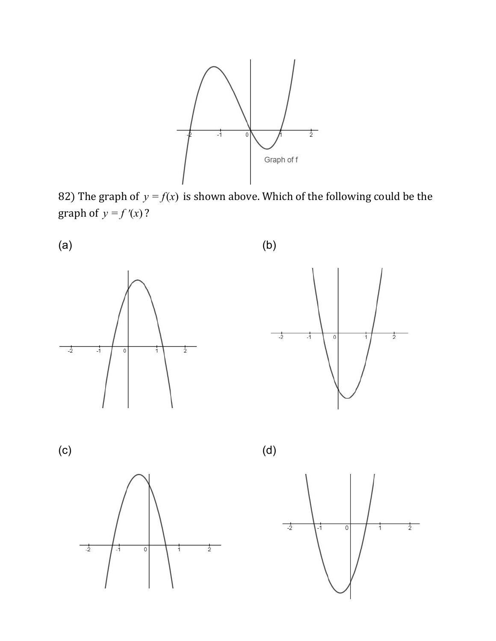

82) The graph of  $y = f(x)$  is shown above. Which of the following could be the graph of  $y = f'(x)$ ?



 $\frac{1}{2}$ 

 $\frac{1}{2}$ 

 $\overline{0}$ 

i

 $-1$ 

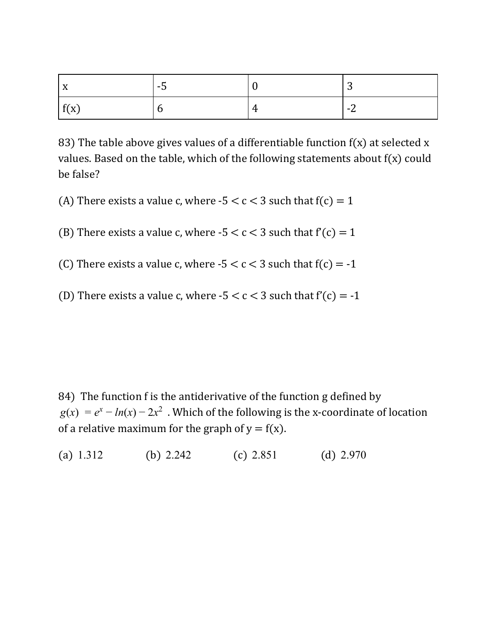| $\overline{\mathbf{v}}$<br>$\mathbf{v}$ | ு |   | ∼              |
|-----------------------------------------|---|---|----------------|
| f(x)                                    |   | 4 | $\blacksquare$ |

83) The table above gives values of a differentiable function  $f(x)$  at selected x values. Based on the table, which of the following statements about f(x) could be false?

- (A) There exists a value c, where  $-5 < c < 3$  such that  $f(c) = 1$
- (B) There exists a value c, where  $-5 < c < 3$  such that  $f'(c) = 1$
- (C) There exists a value c, where  $-5 < c < 3$  such that  $f(c) = -1$
- (D) There exists a value c, where  $-5 < c < 3$  such that  $f'(c) = -1$

84) The function f is the antiderivative of the function g defined by  $g(x) = e^x - ln(x) - 2x^2$ . Which of the following is the x-coordinate of location of a relative maximum for the graph of  $y = f(x)$ .

(a) 1.312 (b) 2.242 (c) 2.851 (d) 2.970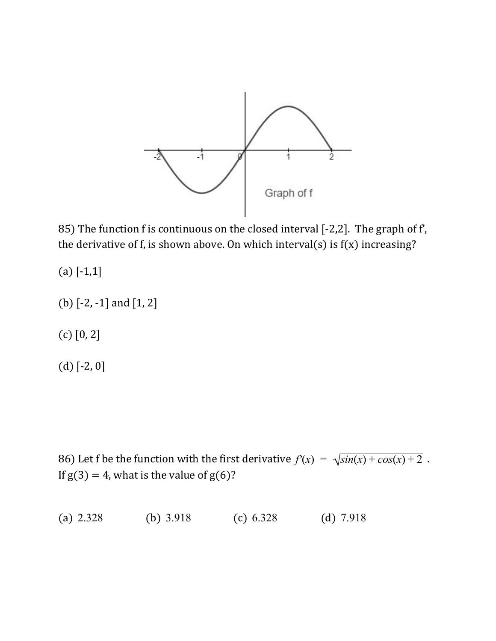

85) The function f is continuous on the closed interval [-2,2]. The graph of f', the derivative of f, is shown above. On which interval(s) is  $f(x)$  increasing?

- $(a)$  [-1,1]
- (b) [-2, -1] and [1, 2]
- (c) [0, 2]
- (d) [-2, 0]

86) Let f be the function with the first derivative  $f'(x) = \sqrt{\sin(x) + \cos(x) + 2}$ . If  $g(3) = 4$ , what is the value of  $g(6)$ ?

(a) 2.328 (b) 3.918 (c) 6.328 (d) 7.918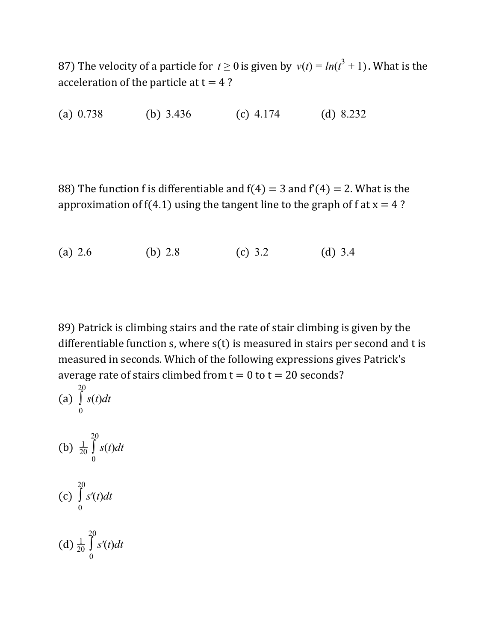87) The velocity of a particle for  $t \ge 0$  is given by  $v(t) = ln(t^3 + 1)$ . What is the acceleration of the particle at  $t = 4$ ?

(a) 0.738 (b) 3.436 (c) 4.174 (d) 8.232

88) The function f is differentiable and  $f(4) = 3$  and  $f'(4) = 2$ . What is the approximation of  $f(4.1)$  using the tangent line to the graph of f at  $x = 4$ ?

(a) 2.6 (b) 2.8 (c) 3.2 (d) 3.4

89) Patrick is climbing stairs and the rate of stair climbing is given by the differentiable function  $s$ , where  $s(t)$  is measured in stairs per second and t is measured in seconds. Which of the following expressions gives Patrick's average rate of stairs climbed from  $t = 0$  to  $t = 20$  seconds?

(a) 
$$
\int_{0}^{20} s(t)dt
$$
  
\n(b)  $\frac{1}{20} \int_{0}^{20} s(t)dt$   
\n(c)  $\int_{0}^{20} s'(t)dt$   
\n(d)  $\frac{1}{20} \int_{0}^{20} s'(t)dt$ 

 $20$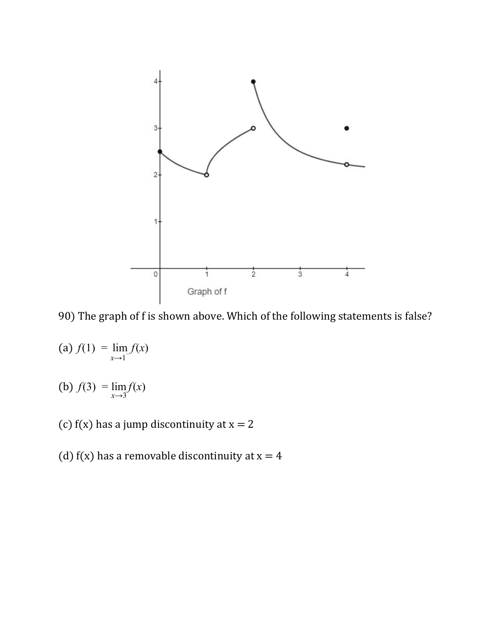

90) The graph of f is shown above. Which of the following statements is false?

 $f(1) = \lim f(x)$  $\lim_{x\to 1^-} f$ 

(b)  $f(3) = \lim f(x)$ *x*→3 *f*

- (c)  $f(x)$  has a jump discontinuity at  $x = 2$
- (d) f(x) has a removable discontinuity at  $x = 4$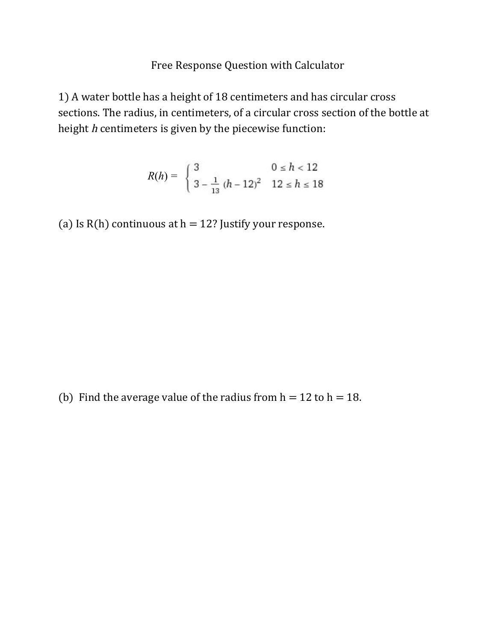#### Free Response Question with Calculator

1) A water bottle has a height of 18 centimeters and has circular cross sections. The radius, in centimeters, of a circular cross section of the bottle at height h centimeters is given by the piecewise function:

$$
R(h) = \begin{cases} 3 & 0 \le h < 12 \\ 3 - \frac{1}{13} (h - 12)^2 & 12 \le h \le 18 \end{cases}
$$

(a) Is  $R(h)$  continuous at  $h = 12$ ? Justify your response.

(b) Find the average value of the radius from  $h = 12$  to  $h = 18$ .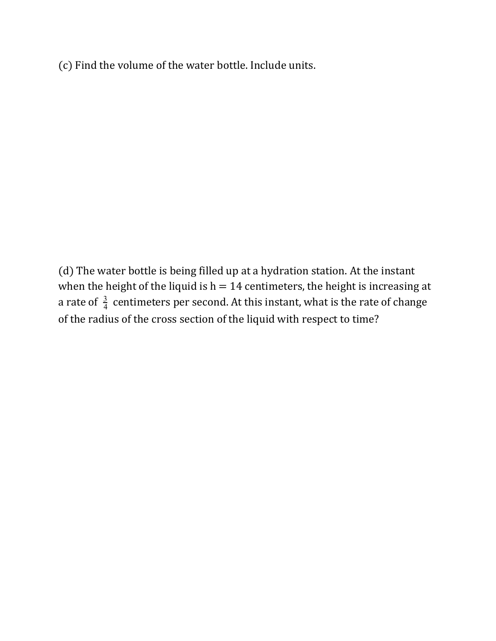(c) Find the volume of the water bottle. Include units.

(d) The water bottle is being filled up at a hydration station. At the instant when the height of the liquid is  $h = 14$  centimeters, the height is increasing at a rate of  $\frac{3}{4}$  centimeters per second. At this instant, what is the rate of change of the radius of the cross section of the liquid with respect to time?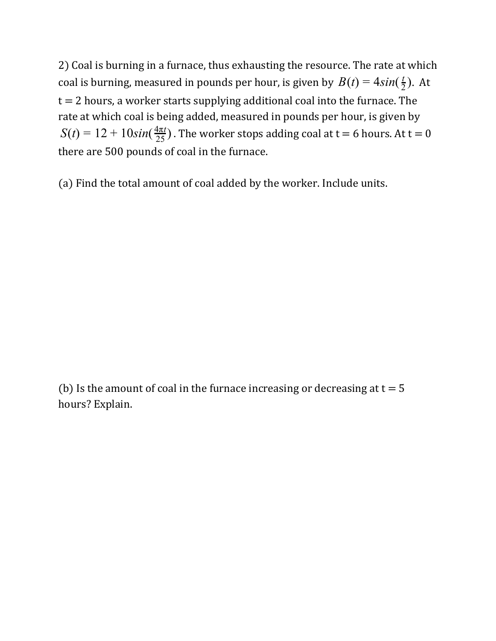2) Coal is burning in a furnace, thus exhausting the resource. The rate at which coal is burning, measured in pounds per hour, is given by  $B(t) = 4\sin(\frac{t}{2})$ . At  $\overline{2}$  $t = 2$  hours, a worker starts supplying additional coal into the furnace. The rate at which coal is being added, measured in pounds per hour, is given by  $S(t) = 12 + 10 sin(\frac{4\pi t}{25})$ . The worker stops adding coal at t = 6 hours. At t = 0 4π*t* there are 500 pounds of coal in the furnace.

(a) Find the total amount of coal added by the worker. Include units.

(b) Is the amount of coal in the furnace increasing or decreasing at  $t = 5$ hours? Explain.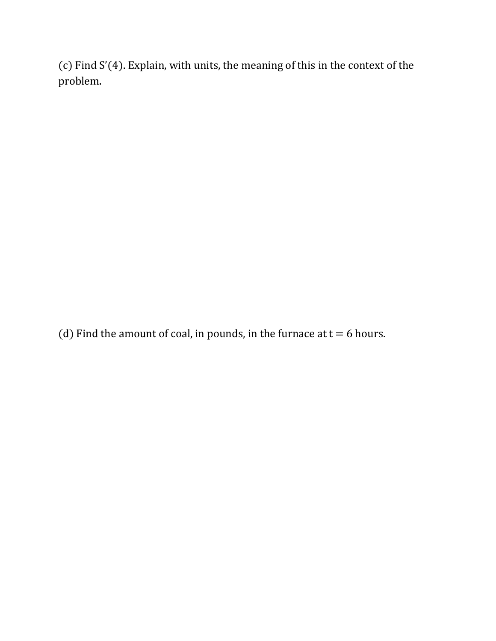(c) Find S'(4). Explain, with units, the meaning of this in the context of the problem.

(d) Find the amount of coal, in pounds, in the furnace at  $t = 6$  hours.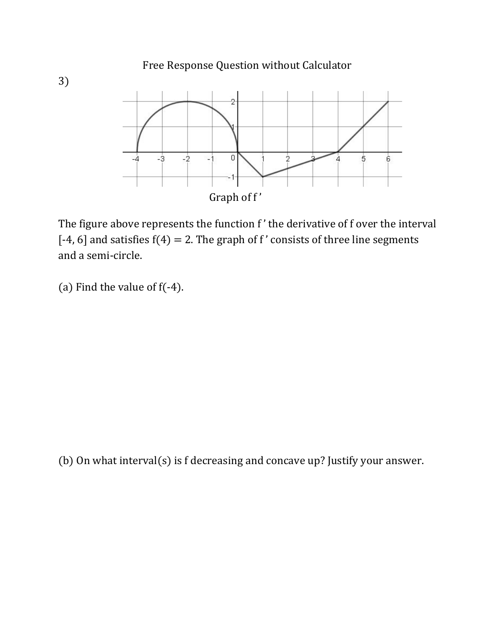

The figure above represents the function f' the derivative of f over the interval [-4, 6] and satisfies  $f(4) = 2$ . The graph of f' consists of three line segments and a semi-circle.

(a) Find the value of f(-4).

(b) On what interval(s) is f decreasing and concave up? Justify your answer.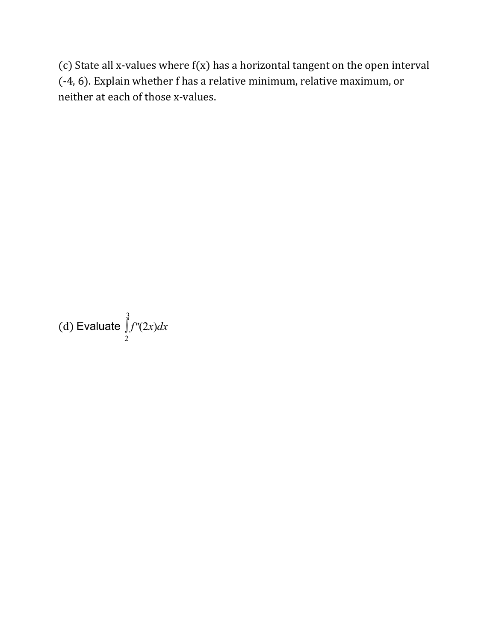(c) State all x-values where  $f(x)$  has a horizontal tangent on the open interval (-4, 6). Explain whether f has a relative minimum, relative maximum, or neither at each of those x-values.

(d) Evaluate  $\int f''(2x)dx$ 3 2 *f*′′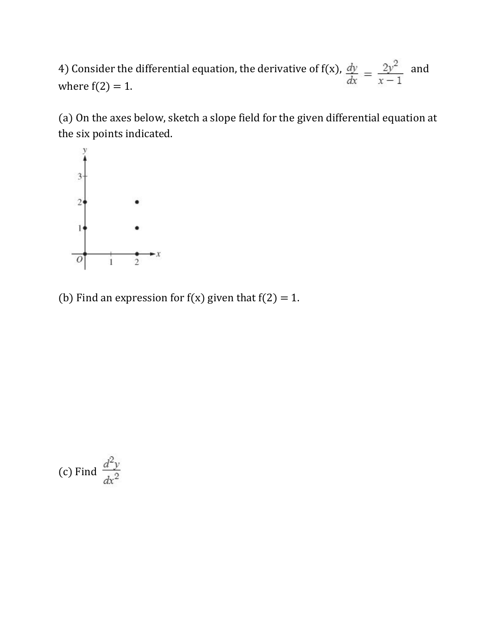4) Consider the differential equation, the derivative of  $f(x)$ ,  $\frac{dy}{dx} = \frac{2y^2}{x-1}$  and where  $f(2) = 1$ where  $f(2) = 1$ .

(a) On the axes below, sketch a slope field for the given differential equation at the six points indicated.



(b) Find an expression for  $f(x)$  given that  $f(2) = 1$ .

(c) Find 
$$
\frac{d^2y}{dx^2}
$$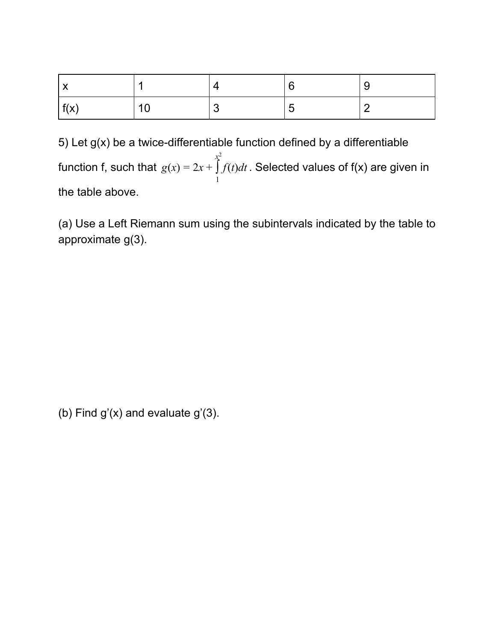| f(x) | AC |  | _ |
|------|----|--|---|

5) Let  $g(x)$  be a twice-differentiable function defined by a differentiable function f, such that  $g(x) = 2x + \int f(t) dt$  . Selected values of f(x) are given in *x* 2 1 *f* the table above.

(a) Use a Left Riemann sum using the subintervals indicated by the table to approximate g(3).

(b) Find  $g'(x)$  and evaluate  $g'(3)$ .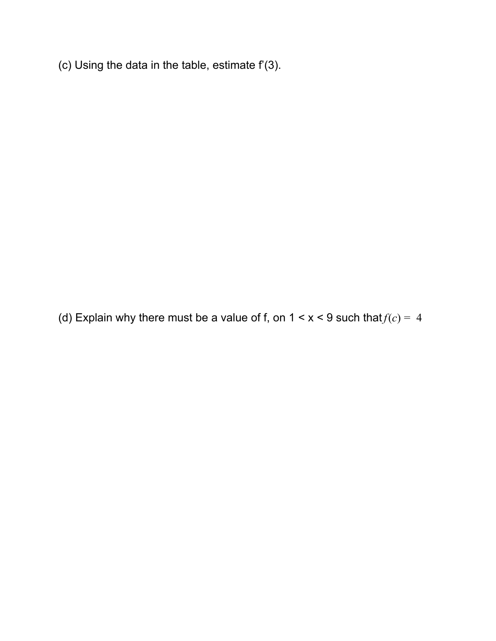(c) Using the data in the table, estimate  $f'(3)$ .

(d) Explain why there must be a value of f, on  $1 < x < 9$  such that  $f(c) = 4$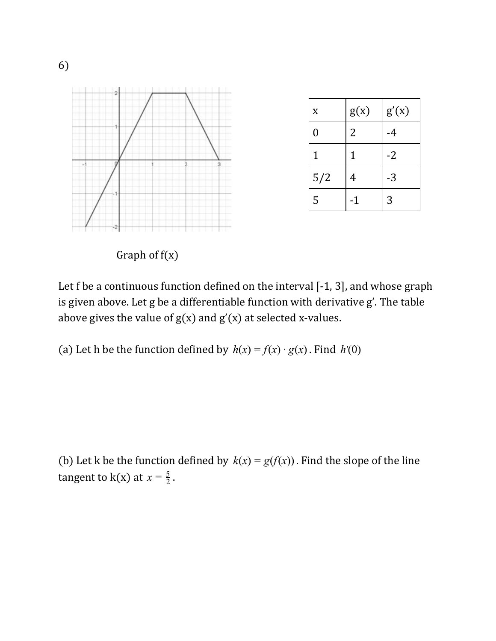

Let f be a continuous function defined on the interval [-1, 3], and whose graph is given above. Let g be a differentiable function with derivative g'. The table

(a) Let h be the function defined by  $h(x) = f(x) \cdot g(x)$ . Find  $h'(0)$ 

above gives the value of  $g(x)$  and  $g'(x)$  at selected x-values.

(b) Let k be the function defined by  $k(x) = g(f(x))$ . Find the slope of the line tangent to  $k(x)$  at  $x = \frac{5}{2}$ .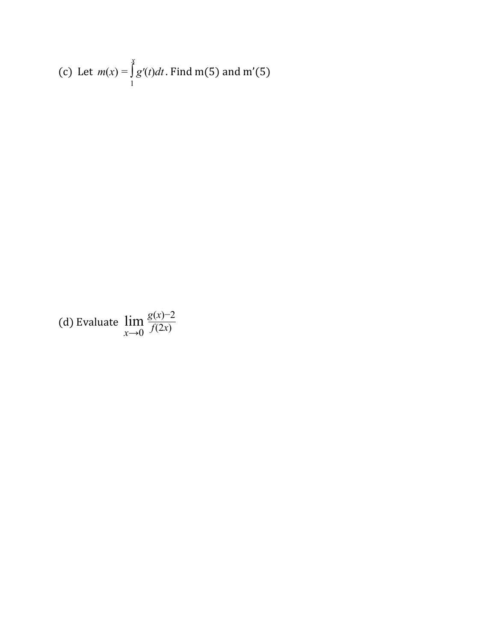(c) Let 
$$
m(x) = \int_{1}^{x} g'(t)dt
$$
. Find m(5) and m'(5)

(d) Evaluate lim  $f(2x)$ <br> $f(2x)$ *g*(*x*)−2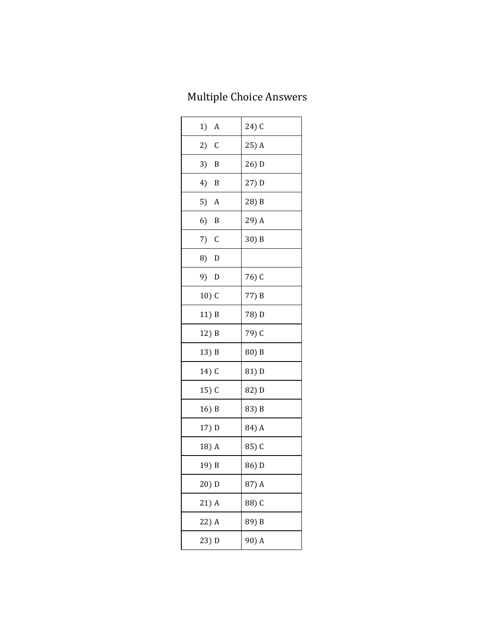## Multiple Choice Answers

| $1)$ A  | 24) C |
|---------|-------|
| $2)$ C  | 25) A |
| $3)$ B  | 26) D |
| 4) B    | 27) D |
| $5)$ A  | 28) B |
| 6) B    | 29) A |
| $7)$ C  | 30) B |
| 8) D    |       |
| 9) D    | 76) C |
| $10)$ C | 77) B |
| 11) B   | 78) D |
| 12) B   | 79) C |
| 13) B   | 80) B |
| 14) C   | 81) D |
| $15)$ C | 82) D |
| 16) B   | 83) B |
| 17) D   | 84) A |
| 18) A   | 85) C |
| 19) B   | 86) D |
| 20) D   | 87) A |
| 21) A   | 88) C |
| 22) A   | 89) B |
| 23) D   | 90) A |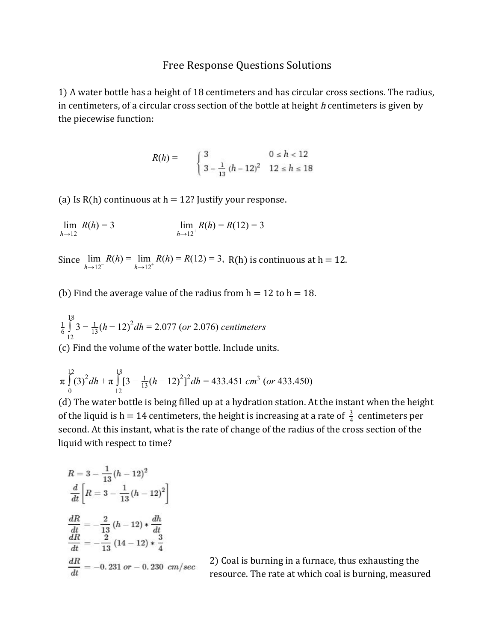#### Free Response Questions Solutions

1) A water bottle has a height of 18 centimeters and has circular cross sections. The radius, in centimeters, of a circular cross section of the bottle at height  $h$  centimeters is given by the piecewise function:

$$
R(h) = \begin{cases} 3 & 0 \le h < 12 \\ 3 - \frac{1}{13} (h - 12)^2 & 12 \le h \le 18 \end{cases}
$$

(a) Is  $R(h)$  continuous at  $h = 12$ ? Justify your response.

 $\lim R(h)$  $h \rightarrow 12^{-}$  $R(h) = 3$  lim  $R(h) = R(12)$  $\lim_{h \to 12^+} R(h) = R(12) = 3$ 

Since  $\lim_{h \to 12^{-}} R(h) = \lim_{h \to 12^{+}} R(h) = R(12) = 3$ , R(h) is continuous at h = 12.  $\lim_{h \to 12^+} R(h) = R(12) = 3,$ 

(b) Find the average value of the radius from  $h = 12$  to  $h = 18$ .

$$
\frac{1}{6} \int_{12}^{18} 3 - \frac{1}{13} (h - 12)^2 dh = 2.077
$$
 (or 2.076) centimeters

(c) Find the volume of the water bottle. Include units.

$$
\pi \int_{0}^{12} (3)^2 dh + \pi \int_{12}^{18} [3 - \frac{1}{13} (h - 12)^2]^2 dh = 433.451 \text{ cm}^3 \text{ (or } 433.450)
$$

(d) The water bottle is being filled up at a hydration station. At the instant when the height of the liquid is h = 14 centimeters, the height is increasing at a rate of  $\frac{3}{4}$  centimeters per second. At this instant, what is the rate of change of the radius of the cross section of the liquid with respect to time?

$$
R = 3 - \frac{1}{13} (h - 12)^2
$$
  
\n
$$
\frac{d}{dt} \left[ R = 3 - \frac{1}{13} (h - 12)^2 \right]
$$
  
\n
$$
\frac{dR}{dt} = -\frac{2}{13} (h - 12) * \frac{dh}{dt}
$$
  
\n
$$
\frac{dR}{dt} = -\frac{2}{13} (14 - 12) * \frac{3}{4}
$$
  
\n
$$
\frac{dR}{dt} = -0.231 \text{ or } -0.230 \text{ cm/sec}
$$

2) Coal is burning in a furnace, thus exhausting the resource. The rate at which coal is burning, measured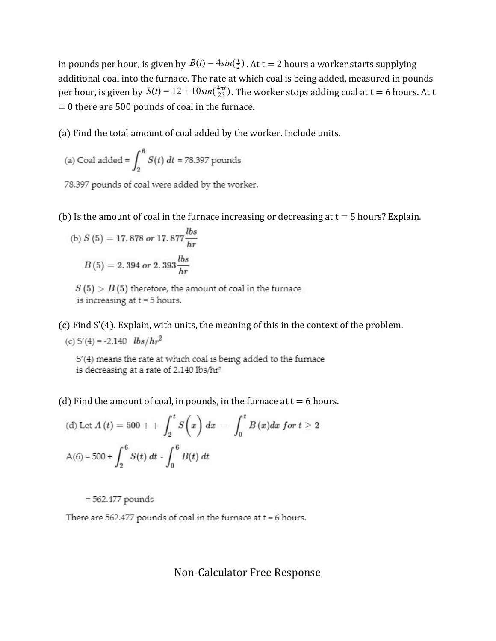in pounds per hour, is given by  $B(t) = 4sin(\frac{t}{2})$  . At t = 2 hours a worker starts supplying additional coal into the furnace. The rate at which coal is being added, measured in pounds per hour, is given by  $S(t) = 12 + 10 sin(\frac{4\pi t}{25})$ . The worker stops adding coal at t = 6 hours. At t  $= 0$  there are 500 pounds of coal in the furnace.

(a) Find the total amount of coal added by the worker. Include units.

(a) Coal added = 
$$
\int_{2}^{6} S(t) dt = 78.397
$$
 pounds

78.397 pounds of coal were added by the worker.

(b) Is the amount of coal in the furnace increasing or decreasing at  $t = 5$  hours? Explain.

(b) 
$$
S(5) = 17.878
$$
 or  $17.877 \frac{lbs}{hr}$   
 $B(5) = 2.394$  or  $2.393 \frac{lbs}{hr}$ 

 $S(5) > B(5)$  therefore, the amount of coal in the furnace is increasing at  $t = 5$  hours.

(c) Find S'(4). Explain, with units, the meaning of this in the context of the problem. (c)  $S'(4) = -2.140$   $lbs/hr^2$ 

S'(4) means the rate at which coal is being added to the furnace is decreasing at a rate of 2.140 lbs/hr<sup>2</sup>

(d) Find the amount of coal, in pounds, in the furnace at  $t = 6$  hours.

(d) Let 
$$
A(t) = 500 + \int_2^t S(x) dx - \int_0^t B(x) dx
$$
 for  $t \ge 2$   
 $A(6) = 500 + \int_2^6 S(t) dt - \int_0^6 B(t) dt$ 

 $= 562.477$  pounds

There are  $562.477$  pounds of coal in the furnace at  $t = 6$  hours.

Non-Calculator Free Response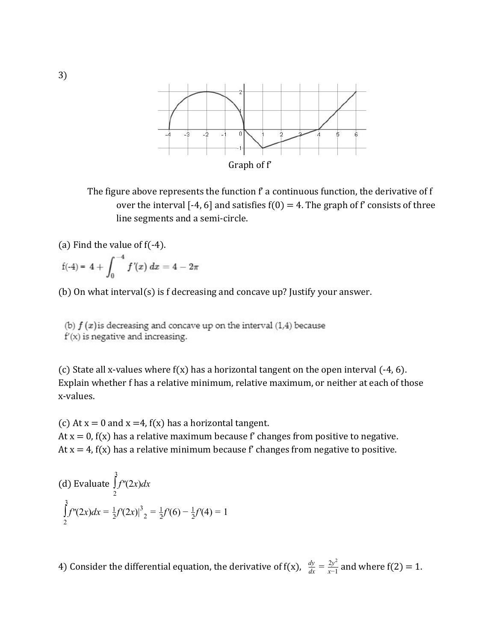

The figure above represents the function f' a continuous function, the derivative of f over the interval [-4, 6] and satisfies  $f(0) = 4$ . The graph of f' consists of three line segments and a semi-circle.

(a) Find the value of  $f(-4)$ .

$$
f(-4) = 4 + \int_0^{-4} f'(x) \ dx = 4 - 2\pi
$$

(b) On what interval(s) is f decreasing and concave up? Justify your answer.

(b)  $f(x)$  is decreasing and concave up on the interval (1,4) because  $f'(x)$  is negative and increasing.

(c) State all x-values where  $f(x)$  has a horizontal tangent on the open interval  $(-4, 6)$ . Explain whether f has a relative minimum, relative maximum, or neither at each of those x-values.

(c) At  $x = 0$  and  $x = 4$ ,  $f(x)$  has a horizontal tangent. At  $x = 0$ ,  $f(x)$  has a relative maximum because f' changes from positive to negative. At  $x = 4$ ,  $f(x)$  has a relative minimum because f' changes from negative to positive.

(d) Evaluate 
$$
\int_{2}^{3} f''(2x) dx
$$
  

$$
\int_{2}^{3} f''(2x) dx = \frac{1}{2} f'(2x)|_{2}^{3} = \frac{1}{2} f'(6) - \frac{1}{2} f'(4) = 1
$$

4) Consider the differential equation, the derivative of  $f(x)$ ,  $\frac{dy}{dx} = \frac{2y^2}{x-1}$  and where  $f(2) = 1$ . *x*−1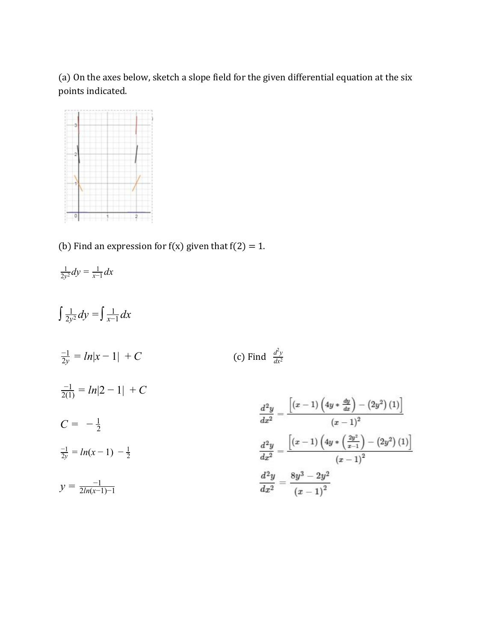(a) On the axes below, sketch a slope field for the given differential equation at the six points indicated.



(b) Find an expression for  $f(x)$  given that  $f(2) = 1$ .

$$
\frac{1}{2y^2}dy = \frac{1}{x-1}dx
$$

 $\int \frac{1}{2y^2} dy = \int \frac{1}{x-1} dx$  $\frac{1}{2y^2}dy = \int \frac{1}{x-1}$ *x*−1  $\frac{d^2y}{dx^2}$  $\frac{d^2y}{dx^2} = ln|x-1| + C$  (c) Find  $\frac{d^2y}{dx^2}$  $\frac{-1}{2(1)} = ln|2 - 1| + C$  $\frac{d^{2}y}{dx^{2}}=\frac{\left[\left(x-1\right)\left(4y*\frac{dy}{dx}\right)-\left(2y^{2}\right)\left(1\right)\right]}{\left(x-1\right)^{2}}$  $C = -\frac{1}{2}$  $\frac{d^{2}y}{dx^{2}}=\frac{\left[ \left( x-1\right) \left( 4y*\left( \frac{2y^{2}}{x-1}\right) -\left( 2y^{2}\right) \left( 1\right) \right] }{\left( x-1\right) ^{2}}%$  $\frac{-1}{2y} = ln(x-1) - \frac{1}{2}$  $\frac{d^2y}{dx^2} = \frac{8y^3 - 2y^2}{(x-1)^2}$  $y = \frac{-1}{2ln(r-1)}$ 2*ln*(*x*−1)−1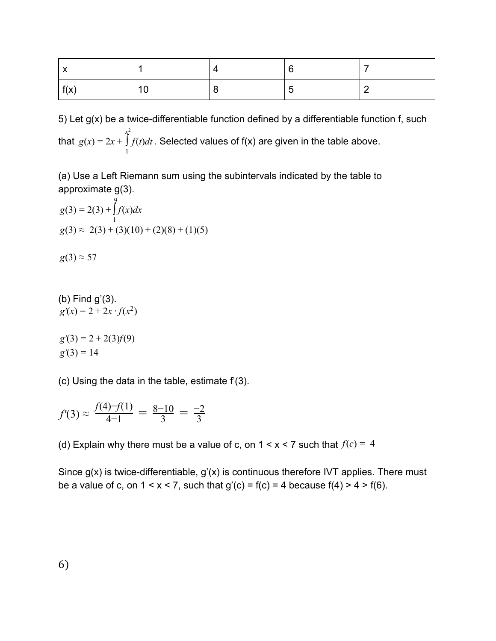| f(x) | $\overline{10}$ |  |  |
|------|-----------------|--|--|

5) Let g(x) be a twice-differentiable function defined by a differentiable function f, such that  $g(x) = 2x + \int f(t)dt$ . Selected values of f(x) are given in the table above. *x* 2 1 *f*

(a) Use a Left Riemann sum using the subintervals indicated by the table to approximate g(3).

$$
g(3) = 2(3) + \int_{1}^{9} f(x)dx
$$
  
 
$$
g(3) \approx 2(3) + (3)(10) + (2)(8) + (1)(5)
$$

 $g(3) \approx 57$ 

(b) Find g'(3).  
 
$$
g'(x) = 2 + 2x \cdot f(x^2)
$$

 $g'(3) = 2 + 2(3)f(9)$  $g'(3) = 14$ 

(c) Using the data in the table, estimate  $f(3)$ .

$$
f'(3) \approx \frac{f(4) - f(1)}{4 - 1} = \frac{8 - 10}{3} = \frac{-2}{3}
$$

(d) Explain why there must be a value of c, on  $1 \le x \le 7$  such that  $f(c) = 4$ 

Since g(x) is twice-differentiable, g'(x) is continuous therefore IVT applies. There must be a value of c, on  $1 < x < 7$ , such that  $g'(c) = f(c) = 4$  because  $f(4) > 4 > f(6)$ .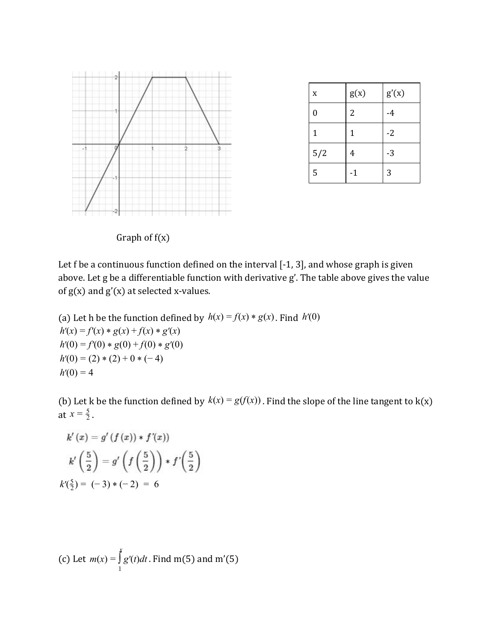

| X                | g(x) | g'(x) |
|------------------|------|-------|
| $\boldsymbol{0}$ | 2    | -4    |
| 1                | 1    | $-2$  |
| 5/2              | 4    | $-3$  |
| 5                | -1   | 3     |

Graph of  $f(x)$ 

Let f be a continuous function defined on the interval [-1, 3], and whose graph is given above. Let g be a differentiable function with derivative g'. The table above gives the value of  $g(x)$  and  $g'(x)$  at selected x-values.

(a) Let h be the function defined by  $h(x) = f(x) * g(x)$ . Find  $h'(0)$  $h'(x) = f'(x) * g(x) + f(x) * g'(x)$  $h'(0) = f'(0) * g(0) + f(0) * g'(0)$  $h'(0) = (2) * (2) + 0 * (-4)$  $h'(0) = 4$ 

(b) Let k be the function defined by  $k(x) = g(f(x))$ . Find the slope of the line tangent to  $k(x)$ at  $x = \frac{5}{2}$ .

$$
k'(x) = g'(f(x)) * f'(x)
$$
  
\n
$$
k'\left(\frac{5}{2}\right) = g'\left(f\left(\frac{5}{2}\right)\right) * f'\left(\frac{5}{2}\right)
$$
  
\n
$$
k'\left(\frac{5}{2}\right) = (-3) * (-2) = 6
$$

(c) Let 
$$
m(x) = \int_{1}^{x} g'(t)dt
$$
. Find m(5) and m'(5)